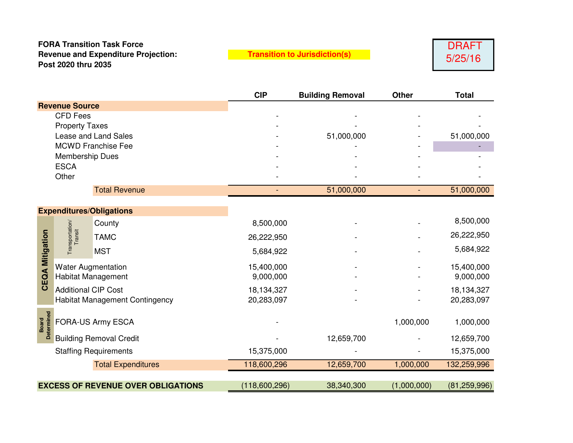## **FORA Transition Task Force Revenue and Expenditure Projection: Post 2020 thru 2035**

**Transition to Jurisdiction(s)**



|                                           |                                       |                                 | <b>CIP</b>    | <b>Building Removal</b> | <b>Other</b>   | <b>Total</b>   |
|-------------------------------------------|---------------------------------------|---------------------------------|---------------|-------------------------|----------------|----------------|
| <b>Revenue Source</b>                     |                                       |                                 |               |                         |                |                |
| <b>CFD Fees</b>                           |                                       |                                 |               |                         |                |                |
| <b>Property Taxes</b>                     |                                       |                                 |               |                         |                |                |
| Lease and Land Sales                      |                                       |                                 |               | 51,000,000              |                | 51,000,000     |
| <b>MCWD Franchise Fee</b>                 |                                       |                                 |               |                         |                |                |
| <b>Membership Dues</b>                    |                                       |                                 |               |                         |                |                |
| <b>ESCA</b>                               |                                       |                                 |               |                         |                |                |
| Other                                     |                                       |                                 |               |                         |                |                |
|                                           |                                       | <b>Total Revenue</b>            |               | 51,000,000              | $\blacksquare$ | 51,000,000     |
|                                           |                                       | <b>Expenditures/Obligations</b> |               |                         |                |                |
|                                           | Transportation/<br>Transit            | County                          | 8,500,000     |                         |                | 8,500,000      |
|                                           |                                       | <b>TAMC</b>                     | 26,222,950    |                         |                | 26,222,950     |
| <b>CEQA Mitigation</b>                    |                                       | <b>MST</b>                      | 5,684,922     |                         |                | 5,684,922      |
|                                           | <b>Water Augmentation</b>             |                                 | 15,400,000    |                         |                | 15,400,000     |
|                                           | <b>Habitat Management</b>             |                                 | 9,000,000     |                         |                | 9,000,000      |
|                                           | <b>Additional CIP Cost</b>            |                                 | 18,134,327    |                         |                | 18,134,327     |
|                                           | <b>Habitat Management Contingency</b> |                                 | 20,283,097    |                         |                | 20,283,097     |
|                                           | FORA-US Army ESCA                     |                                 |               |                         |                |                |
| Determined<br><b>Board</b>                |                                       |                                 |               |                         | 1,000,000      | 1,000,000      |
|                                           | <b>Building Removal Credit</b>        |                                 |               | 12,659,700              |                | 12,659,700     |
| <b>Staffing Requirements</b>              |                                       |                                 | 15,375,000    |                         |                | 15,375,000     |
| <b>Total Expenditures</b>                 |                                       |                                 | 118,600,296   | 12,659,700              | 1,000,000      | 132,259,996    |
|                                           |                                       |                                 |               |                         |                |                |
| <b>EXCESS OF REVENUE OVER OBLIGATIONS</b> |                                       |                                 | (118,600,296) | 38,340,300              | (1,000,000)    | (81, 259, 996) |